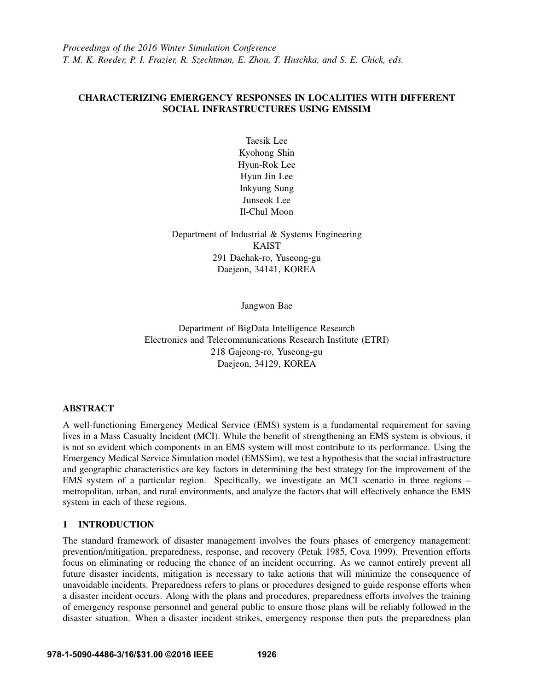*Proceedings of the 2016 Winter Simulation Conference T. M. K. Roeder, P. I. Frazier, R. Szechtman, E. Zhou, T. Huschka, and S. E. Chick, eds.*

# CHARACTERIZING EMERGENCY RESPONSES IN LOCALITIES WITH DIFFERENT SOCIAL INFRASTRUCTURES USING EMSSIM

Taesik Lee Kyohong Shin Hyun-Rok Lee Hyun Jin Lee Inkyung Sung Junseok Lee Il-Chul Moon

Department of Industrial & Systems Engineering KAIST 291 Daehak-ro, Yuseong-gu Daejeon, 34141, KOREA

Jangwon Bae

Department of BigData Intelligence Research Electronics and Telecommunications Research Institute (ETRI) 218 Gajeong-ro, Yuseong-gu Daejeon, 34129, KOREA

## ABSTRACT

A well-functioning Emergency Medical Service (EMS) system is a fundamental requirement for saving lives in a Mass Casualty Incident (MCI). While the benefit of strengthening an EMS system is obvious, it is not so evident which components in an EMS system will most contribute to its performance. Using the Emergency Medical Service Simulation model (EMSSim), we test a hypothesis that the social infrastructure and geographic characteristics are key factors in determining the best strategy for the improvement of the EMS system of a particular region. Specifically, we investigate an MCI scenario in three regions – metropolitan, urban, and rural environments, and analyze the factors that will effectively enhance the EMS system in each of these regions.

### 1 INTRODUCTION

The standard framework of disaster management involves the fours phases of emergency management: prevention/mitigation, preparedness, response, and recovery (Petak 1985, Cova 1999). Prevention efforts focus on eliminating or reducing the chance of an incident occurring. As we cannot entirely prevent all future disaster incidents, mitigation is necessary to take actions that will minimize the consequence of unavoidable incidents. Preparedness refers to plans or procedures designed to guide response efforts when a disaster incident occurs. Along with the plans and procedures, preparedness efforts involves the training of emergency response personnel and general public to ensure those plans will be reliably followed in the disaster situation. When a disaster incident strikes, emergency response then puts the preparedness plan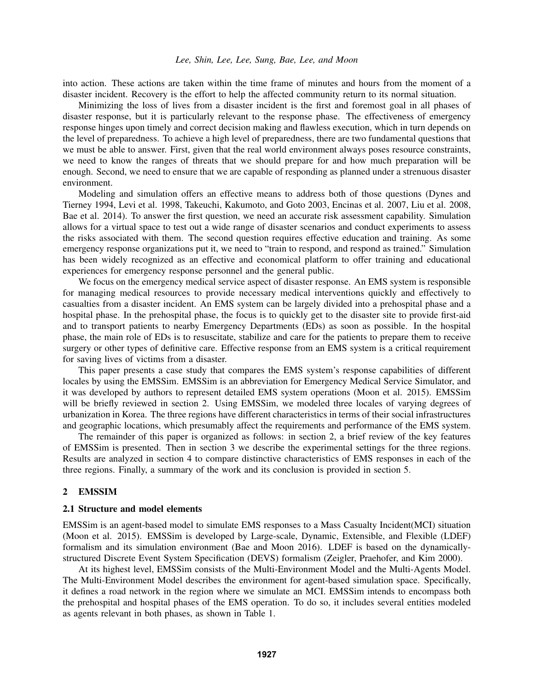into action. These actions are taken within the time frame of minutes and hours from the moment of a disaster incident. Recovery is the effort to help the affected community return to its normal situation.

Minimizing the loss of lives from a disaster incident is the first and foremost goal in all phases of disaster response, but it is particularly relevant to the response phase. The effectiveness of emergency response hinges upon timely and correct decision making and flawless execution, which in turn depends on the level of preparedness. To achieve a high level of preparedness, there are two fundamental questions that we must be able to answer. First, given that the real world environment always poses resource constraints, we need to know the ranges of threats that we should prepare for and how much preparation will be enough. Second, we need to ensure that we are capable of responding as planned under a strenuous disaster environment.

Modeling and simulation offers an effective means to address both of those questions (Dynes and Tierney 1994, Levi et al. 1998, Takeuchi, Kakumoto, and Goto 2003, Encinas et al. 2007, Liu et al. 2008, Bae et al. 2014). To answer the first question, we need an accurate risk assessment capability. Simulation allows for a virtual space to test out a wide range of disaster scenarios and conduct experiments to assess the risks associated with them. The second question requires effective education and training. As some emergency response organizations put it, we need to "train to respond, and respond as trained." Simulation has been widely recognized as an effective and economical platform to offer training and educational experiences for emergency response personnel and the general public.

We focus on the emergency medical service aspect of disaster response. An EMS system is responsible for managing medical resources to provide necessary medical interventions quickly and effectively to casualties from a disaster incident. An EMS system can be largely divided into a prehospital phase and a hospital phase. In the prehospital phase, the focus is to quickly get to the disaster site to provide first-aid and to transport patients to nearby Emergency Departments (EDs) as soon as possible. In the hospital phase, the main role of EDs is to resuscitate, stabilize and care for the patients to prepare them to receive surgery or other types of definitive care. Effective response from an EMS system is a critical requirement for saving lives of victims from a disaster.

This paper presents a case study that compares the EMS system's response capabilities of different locales by using the EMSSim. EMSSim is an abbreviation for Emergency Medical Service Simulator, and it was developed by authors to represent detailed EMS system operations (Moon et al. 2015). EMSSim will be briefly reviewed in section 2. Using EMSSim, we modeled three locales of varying degrees of urbanization in Korea. The three regions have different characteristics in terms of their social infrastructures and geographic locations, which presumably affect the requirements and performance of the EMS system.

The remainder of this paper is organized as follows: in section 2, a brief review of the key features of EMSSim is presented. Then in section 3 we describe the experimental settings for the three regions. Results are analyzed in section 4 to compare distinctive characteristics of EMS responses in each of the three regions. Finally, a summary of the work and its conclusion is provided in section 5.

## 2 EMSSIM

# 2.1 Structure and model elements

EMSSim is an agent-based model to simulate EMS responses to a Mass Casualty Incident(MCI) situation (Moon et al. 2015). EMSSim is developed by Large-scale, Dynamic, Extensible, and Flexible (LDEF) formalism and its simulation environment (Bae and Moon 2016). LDEF is based on the dynamicallystructured Discrete Event System Specification (DEVS) formalism (Zeigler, Praehofer, and Kim 2000).

At its highest level, EMSSim consists of the Multi-Environment Model and the Multi-Agents Model. The Multi-Environment Model describes the environment for agent-based simulation space. Specifically, it defines a road network in the region where we simulate an MCI. EMSSim intends to encompass both the prehospital and hospital phases of the EMS operation. To do so, it includes several entities modeled as agents relevant in both phases, as shown in Table 1.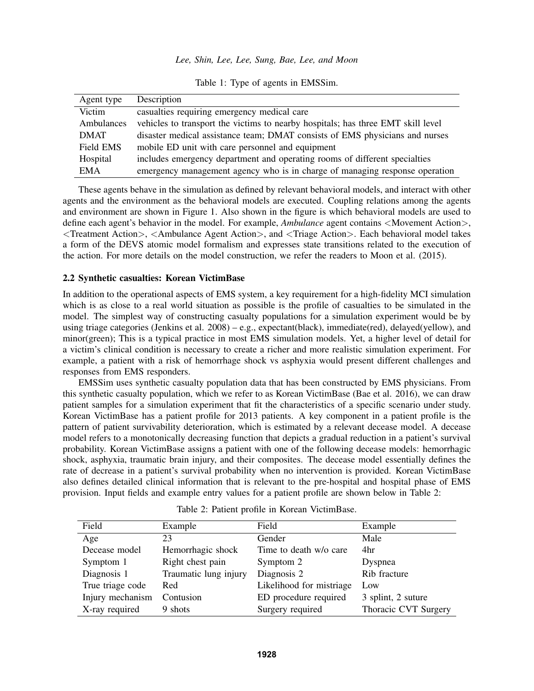|  |  |  |  | Table 1: Type of agents in EMSSim. |
|--|--|--|--|------------------------------------|
|--|--|--|--|------------------------------------|

| Agent type | Description                                                                      |
|------------|----------------------------------------------------------------------------------|
| Victim     | casualties requiring emergency medical care                                      |
| Ambulances | vehicles to transport the victims to nearby hospitals; has three EMT skill level |
| DMAT       | disaster medical assistance team; DMAT consists of EMS physicians and nurses     |
| Field EMS  | mobile ED unit with care personnel and equipment                                 |
| Hospital   | includes emergency department and operating rooms of different specialties       |
| <b>EMA</b> | emergency management agency who is in charge of managing response operation      |

These agents behave in the simulation as defined by relevant behavioral models, and interact with other agents and the environment as the behavioral models are executed. Coupling relations among the agents and environment are shown in Figure 1. Also shown in the figure is which behavioral models are used to define each agent's behavior in the model. For example, *Ambulance* agent contains <Movement Action>, <Treatment Action>, <Ambulance Agent Action>, and <Triage Action>. Each behavioral model takes a form of the DEVS atomic model formalism and expresses state transitions related to the execution of the action. For more details on the model construction, we refer the readers to Moon et al. (2015).

### 2.2 Synthetic casualties: Korean VictimBase

In addition to the operational aspects of EMS system, a key requirement for a high-fidelity MCI simulation which is as close to a real world situation as possible is the profile of casualties to be simulated in the model. The simplest way of constructing casualty populations for a simulation experiment would be by using triage categories (Jenkins et al. 2008) – e.g., expectant(black), immediate(red), delayed(yellow), and minor(green); This is a typical practice in most EMS simulation models. Yet, a higher level of detail for a victim's clinical condition is necessary to create a richer and more realistic simulation experiment. For example, a patient with a risk of hemorrhage shock vs asphyxia would present different challenges and responses from EMS responders.

EMSSim uses synthetic casualty population data that has been constructed by EMS physicians. From this synthetic casualty population, which we refer to as Korean VictimBase (Bae et al. 2016), we can draw patient samples for a simulation experiment that fit the characteristics of a specific scenario under study. Korean VictimBase has a patient profile for 2013 patients. A key component in a patient profile is the pattern of patient survivability deterioration, which is estimated by a relevant decease model. A decease model refers to a monotonically decreasing function that depicts a gradual reduction in a patient's survival probability. Korean VictimBase assigns a patient with one of the following decease models: hemorrhagic shock, asphyxia, traumatic brain injury, and their composites. The decease model essentially defines the rate of decrease in a patient's survival probability when no intervention is provided. Korean VictimBase also defines detailed clinical information that is relevant to the pre-hospital and hospital phase of EMS provision. Input fields and example entry values for a patient profile are shown below in Table 2:

| Field            | Example               | Field                    | Example              |
|------------------|-----------------------|--------------------------|----------------------|
| Age              | 23                    | Gender                   | Male                 |
| Decease model    | Hemorrhagic shock     | Time to death w/o care   | 4hr                  |
| Symptom 1        | Right chest pain      | Symptom 2                | Dyspnea              |
| Diagnosis 1      | Traumatic lung injury | Diagnosis 2              | Rib fracture         |
| True triage code | Red                   | Likelihood for mistriage | Low                  |
| Injury mechanism | Contusion             | ED procedure required    | 3 splint, 2 suture   |
| X-ray required   | 9 shots               | Surgery required         | Thoracic CVT Surgery |

Table 2: Patient profile in Korean VictimBase.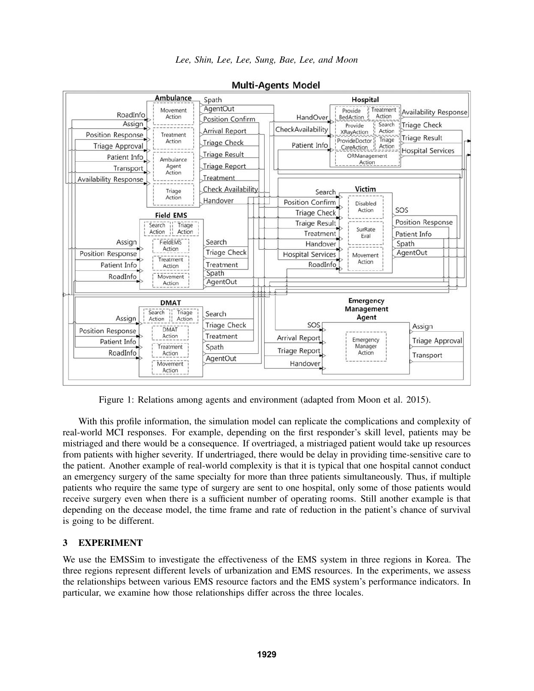

**Multi-Agents Model** 

Figure 1: Relations among agents and environment (adapted from Moon et al. 2015).

With this profile information, the simulation model can replicate the complications and complexity of real-world MCI responses. For example, depending on the first responder's skill level, patients may be mistriaged and there would be a consequence. If overtriaged, a mistriaged patient would take up resources from patients with higher severity. If undertriaged, there would be delay in providing time-sensitive care to the patient. Another example of real-world complexity is that it is typical that one hospital cannot conduct an emergency surgery of the same specialty for more than three patients simultaneously. Thus, if multiple patients who require the same type of surgery are sent to one hospital, only some of those patients would receive surgery even when there is a sufficient number of operating rooms. Still another example is that depending on the decease model, the time frame and rate of reduction in the patient's chance of survival is going to be different.

## 3 EXPERIMENT

We use the EMSSim to investigate the effectiveness of the EMS system in three regions in Korea. The three regions represent different levels of urbanization and EMS resources. In the experiments, we assess the relationships between various EMS resource factors and the EMS system's performance indicators. In particular, we examine how those relationships differ across the three locales.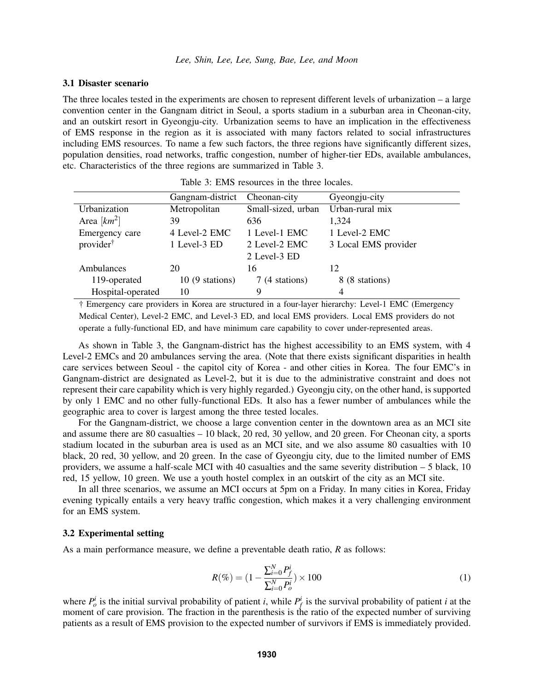#### 3.1 Disaster scenario

The three locales tested in the experiments are chosen to represent different levels of urbanization – a large convention center in the Gangnam ditrict in Seoul, a sports stadium in a suburban area in Cheonan-city, and an outskirt resort in Gyeongju-city. Urbanization seems to have an implication in the effectiveness of EMS response in the region as it is associated with many factors related to social infrastructures including EMS resources. To name a few such factors, the three regions have significantly different sizes, population densities, road networks, traffic congestion, number of higher-tier EDs, available ambulances, etc. Characteristics of the three regions are summarized in Table 3.

|                       | Gangnam-district | Cheonan-city       | Gyeongju-city        |
|-----------------------|------------------|--------------------|----------------------|
| Urbanization          | Metropolitan     | Small-sized, urban | Urban-rural mix      |
| Area $[km^2]$         | 39               | 636                | 1.324                |
| Emergency care        | 4 Level-2 EMC    | 1 Level-1 EMC      | 1 Level-2 EMC        |
| provider <sup>†</sup> | 1 Level-3 ED     | 2 Level-2 EMC      | 3 Local EMS provider |
|                       |                  | 2 Level-3 ED       |                      |
| Ambulances            | 20               | 16                 | 12                   |
| 119-operated          | $10(9$ stations) | 7 (4 stations)     | 8 (8 stations)       |
| Hospital-operated     | 10               | Q                  | 4                    |

| Table 3: EMS resources in the three locales. |
|----------------------------------------------|
|----------------------------------------------|

† Emergency care providers in Korea are structured in a four-layer hierarchy: Level-1 EMC (Emergency Medical Center), Level-2 EMC, and Level-3 ED, and local EMS providers. Local EMS providers do not operate a fully-functional ED, and have minimum care capability to cover under-represented areas.

As shown in Table 3, the Gangnam-district has the highest accessibility to an EMS system, with 4 Level-2 EMCs and 20 ambulances serving the area. (Note that there exists significant disparities in health care services between Seoul - the capitol city of Korea - and other cities in Korea. The four EMC's in Gangnam-district are designated as Level-2, but it is due to the administrative constraint and does not represent their care capability which is very highly regarded.) Gyeongju city, on the other hand, is supported by only 1 EMC and no other fully-functional EDs. It also has a fewer number of ambulances while the geographic area to cover is largest among the three tested locales.

For the Gangnam-district, we choose a large convention center in the downtown area as an MCI site and assume there are 80 casualties – 10 black, 20 red, 30 yellow, and 20 green. For Cheonan city, a sports stadium located in the suburban area is used as an MCI site, and we also assume 80 casualties with 10 black, 20 red, 30 yellow, and 20 green. In the case of Gyeongju city, due to the limited number of EMS providers, we assume a half-scale MCI with 40 casualties and the same severity distribution – 5 black, 10 red, 15 yellow, 10 green. We use a youth hostel complex in an outskirt of the city as an MCI site.

In all three scenarios, we assume an MCI occurs at 5pm on a Friday. In many cities in Korea, Friday evening typically entails a very heavy traffic congestion, which makes it a very challenging environment for an EMS system.

#### 3.2 Experimental setting

As a main performance measure, we define a preventable death ratio, *R* as follows:

$$
R(\%) = (1 - \frac{\sum_{i=0}^{N} P_f^i}{\sum_{i=0}^{N} P_o^i}) \times 100
$$
\n(1)

where  $P_o^i$  is the initial survival probability of patient *i*, while  $P_f^i$  is the survival probability of patient *i* at the moment of care provision. The fraction in the parenthesis is the ratio of the expected number of surviving patients as a result of EMS provision to the expected number of survivors if EMS is immediately provided.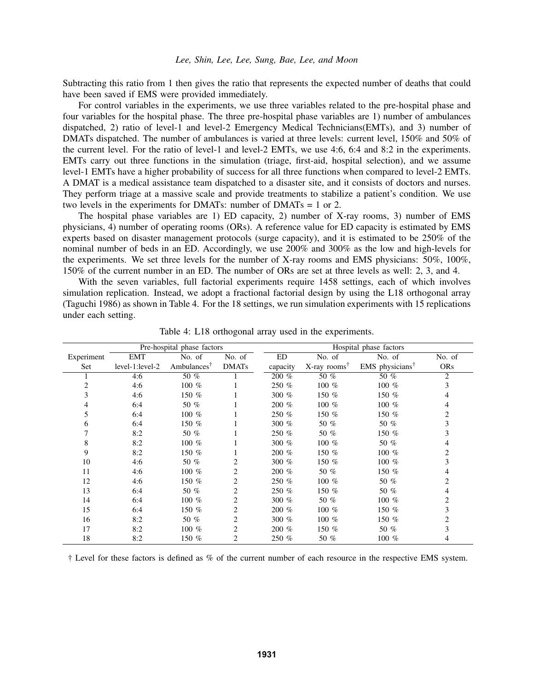Subtracting this ratio from 1 then gives the ratio that represents the expected number of deaths that could have been saved if EMS were provided immediately.

For control variables in the experiments, we use three variables related to the pre-hospital phase and four variables for the hospital phase. The three pre-hospital phase variables are 1) number of ambulances dispatched, 2) ratio of level-1 and level-2 Emergency Medical Technicians(EMTs), and 3) number of DMATs dispatched. The number of ambulances is varied at three levels: current level, 150% and 50% of the current level. For the ratio of level-1 and level-2 EMTs, we use 4:6, 6:4 and 8:2 in the experiments. EMTs carry out three functions in the simulation (triage, first-aid, hospital selection), and we assume level-1 EMTs have a higher probability of success for all three functions when compared to level-2 EMTs. A DMAT is a medical assistance team dispatched to a disaster site, and it consists of doctors and nurses. They perform triage at a massive scale and provide treatments to stabilize a patient's condition. We use two levels in the experiments for DMATs: number of DMATs = 1 or 2.

The hospital phase variables are 1) ED capacity, 2) number of X-ray rooms, 3) number of EMS physicians, 4) number of operating rooms (ORs). A reference value for ED capacity is estimated by EMS experts based on disaster management protocols (surge capacity), and it is estimated to be 250% of the nominal number of beds in an ED. Accordingly, we use 200% and 300% as the low and high-levels for the experiments. We set three levels for the number of X-ray rooms and EMS physicians: 50%, 100%, 150% of the current number in an ED. The number of ORs are set at three levels as well: 2, 3, and 4.

With the seven variables, full factorial experiments require 1458 settings, each of which involves simulation replication. Instead, we adopt a fractional factorial design by using the L18 orthogonal array (Taguchi 1986) as shown in Table 4. For the 18 settings, we run simulation experiments with 15 replications under each setting.

| Pre-hospital phase factors |                 |                         |                |          | Hospital phase factors      |                                                 |            |  |  |
|----------------------------|-----------------|-------------------------|----------------|----------|-----------------------------|-------------------------------------------------|------------|--|--|
| Experiment                 | <b>EMT</b>      | No. of                  | No. of         | ED       | No. of                      | No. of                                          | No. of     |  |  |
| Set                        | level-1:level-2 | Ambulances <sup>†</sup> | <b>DMATs</b>   | capacity | $X$ -ray rooms <sup>†</sup> | EMS physicians <sup><math>\uparrow</math></sup> | <b>ORs</b> |  |  |
|                            | 4:6             | 50 %                    |                | 200 %    | 50 %                        | 50 %                                            | 2          |  |  |
| 2                          | 4:6             | 100 $%$                 |                | 250 %    | 100 $%$                     | $100 \%$                                        | 3          |  |  |
| 3                          | 4:6             | 150 %                   |                | 300 $%$  | 150 %                       | 150 $%$                                         |            |  |  |
|                            | 6:4             | 50 %                    |                | $200~\%$ | 100 $%$                     | 100 %                                           | 4          |  |  |
| 5                          | 6:4             | 100 $%$                 |                | 250 %    | 150 %                       | 150 $%$                                         | 2          |  |  |
| 6                          | 6:4             | 150 %                   |                | 300 $%$  | 50 %                        | 50 %                                            | 3          |  |  |
|                            | 8:2             | 50 %                    |                | 250 %    | 50 %                        | 150 %                                           |            |  |  |
| 8                          | 8:2             | 100 $%$                 |                | 300 %    | $100 \, %$                  | 50 %                                            |            |  |  |
| 9                          | 8:2             | 150 %                   |                | $200\%$  | 150 $%$                     | $100 \%$                                        | 2          |  |  |
| 10                         | 4:6             | 50 %                    | $\overline{c}$ | 300 $%$  | 150 $%$                     | $100 \%$                                        | 3          |  |  |
| 11                         | 4:6             | 100 $%$                 | 2              | $200~\%$ | 50 %                        | 150 %                                           |            |  |  |
| 12                         | 4:6             | 150 %                   | 2              | 250 %    | 100 $%$                     | 50 %                                            |            |  |  |
| 13                         | 6:4             | 50 %                    |                | $250 \%$ | 150 %                       | 50 %                                            |            |  |  |
| 14                         | 6:4             | 100 $%$                 | $\overline{c}$ | 300 $%$  | 50 %                        | 100 %                                           | 2          |  |  |
| 15                         | 6:4             | $150~\%$                | $\overline{c}$ | $200\%$  | 100 $%$                     | 150 $%$                                         | 3          |  |  |
| 16                         | 8:2             | 50 %                    | 2              | 300 $%$  | 100 $%$                     | 150 $%$                                         |            |  |  |
| 17                         | 8:2             | 100 $%$                 | 2              | 200 %    | 150 %                       | 50 %                                            | 3          |  |  |
| 18                         | 8:2             | 150 %                   | 2              | 250 %    | 50 %                        | $100 \%$                                        | 4          |  |  |

Table 4: L18 orthogonal array used in the experiments.

† Level for these factors is defined as % of the current number of each resource in the respective EMS system.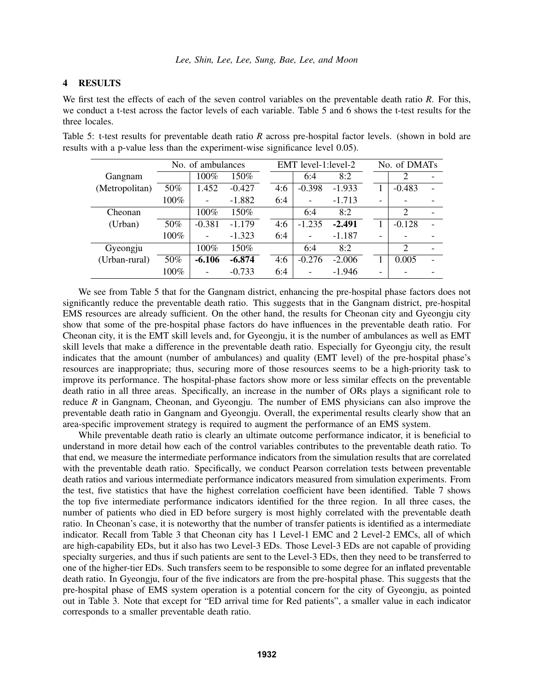### 4 RESULTS

We first test the effects of each of the seven control variables on the preventable death ratio *R*. For this, we conduct a t-test across the factor levels of each variable. Table 5 and 6 shows the t-test results for the three locales.

| No. of ambulances |      |          | EMT level-1:level-2 |     |                              |          | No. of DMATs |                          |                |                          |
|-------------------|------|----------|---------------------|-----|------------------------------|----------|--------------|--------------------------|----------------|--------------------------|
| Gangnam           |      | $100\%$  | 150%                |     | 6:4                          | 8:2      |              |                          | $\mathfrak{D}$ | ٠                        |
| (Metropolitan)    | 50%  | 1.452    | $-0.427$            | 4:6 | $-0.398$                     | $-1.933$ |              |                          | $-0.483$       | $\overline{\phantom{0}}$ |
|                   | 100% |          | $-1.882$            | 6:4 | $\qquad \qquad \blacksquare$ | $-1.713$ |              | $\overline{\phantom{0}}$ |                | ۰                        |
| Cheonan           |      | $100\%$  | 150%                |     | 6:4                          | 8:2      |              |                          | $\mathcal{D}$  | ٠                        |
| (Urban)           | 50%  | $-0.381$ | $-1.179$            | 4:6 | $-1.235$                     | $-2.491$ |              |                          | $-0.128$       | $\overline{\phantom{0}}$ |
|                   | 100% |          | $-1.323$            | 6:4 | $\overline{\phantom{a}}$     | $-1.187$ |              | $\overline{\phantom{0}}$ |                | ٠                        |
| Gyeongju          |      | $100\%$  | 150%                |     | 6:4                          | 8:2      |              |                          | $\overline{2}$ |                          |
| (Urban-rural)     | 50%  | $-6.106$ | $-6.874$            | 4:6 | $-0.276$                     | $-2.006$ |              |                          | 0.005          |                          |
|                   | 100% |          | $-0.733$            | 6:4 |                              | $-1.946$ |              | $\overline{\phantom{0}}$ |                |                          |

Table 5: t-test results for preventable death ratio *R* across pre-hospital factor levels. (shown in bold are results with a p-value less than the experiment-wise significance level 0.05).

We see from Table 5 that for the Gangnam district, enhancing the pre-hospital phase factors does not significantly reduce the preventable death ratio. This suggests that in the Gangnam district, pre-hospital EMS resources are already sufficient. On the other hand, the results for Cheonan city and Gyeongju city show that some of the pre-hospital phase factors do have influences in the preventable death ratio. For Cheonan city, it is the EMT skill levels and, for Gyeongju, it is the number of ambulances as well as EMT skill levels that make a difference in the preventable death ratio. Especially for Gyeongju city, the result indicates that the amount (number of ambulances) and quality (EMT level) of the pre-hospital phase's resources are inappropriate; thus, securing more of those resources seems to be a high-priority task to improve its performance. The hospital-phase factors show more or less similar effects on the preventable death ratio in all three areas. Specifically, an increase in the number of ORs plays a significant role to reduce *R* in Gangnam, Cheonan, and Gyeongju. The number of EMS physicians can also improve the preventable death ratio in Gangnam and Gyeongju. Overall, the experimental results clearly show that an area-specific improvement strategy is required to augment the performance of an EMS system.

While preventable death ratio is clearly an ultimate outcome performance indicator, it is beneficial to understand in more detail how each of the control variables contributes to the preventable death ratio. To that end, we measure the intermediate performance indicators from the simulation results that are correlated with the preventable death ratio. Specifically, we conduct Pearson correlation tests between preventable death ratios and various intermediate performance indicators measured from simulation experiments. From the test, five statistics that have the highest correlation coefficient have been identified. Table 7 shows the top five intermediate performance indicators identified for the three region. In all three cases, the number of patients who died in ED before surgery is most highly correlated with the preventable death ratio. In Cheonan's case, it is noteworthy that the number of transfer patients is identified as a intermediate indicator. Recall from Table 3 that Cheonan city has 1 Level-1 EMC and 2 Level-2 EMCs, all of which are high-capability EDs, but it also has two Level-3 EDs. Those Level-3 EDs are not capable of providing specialty surgeries, and thus if such patients are sent to the Level-3 EDs, then they need to be transferred to one of the higher-tier EDs. Such transfers seem to be responsible to some degree for an inflated preventable death ratio. In Gyeongju, four of the five indicators are from the pre-hospital phase. This suggests that the pre-hospital phase of EMS system operation is a potential concern for the city of Gyeongju, as pointed out in Table 3. Note that except for "ED arrival time for Red patients", a smaller value in each indicator corresponds to a smaller preventable death ratio.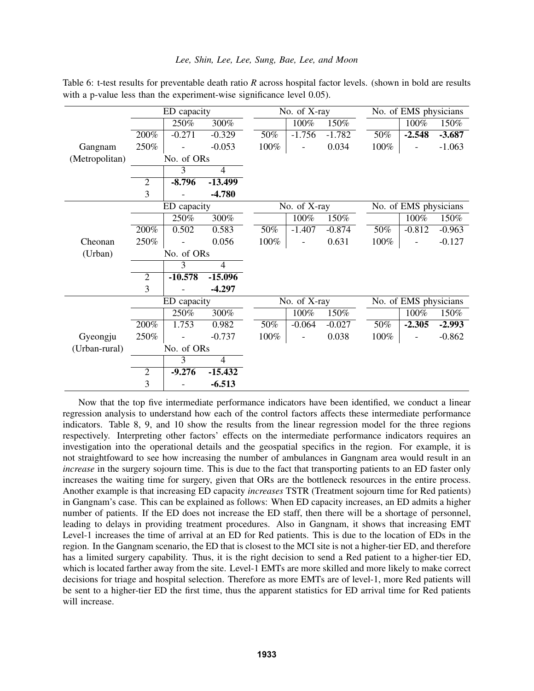|                |                | ED capacity    |                |      | No. of X-ray             |          |      | No. of EMS physicians |          |
|----------------|----------------|----------------|----------------|------|--------------------------|----------|------|-----------------------|----------|
|                |                | 250%           | 300%           |      | 100%                     | 150%     |      | 100%                  | 150%     |
|                | 200%           | $-0.271$       | $-0.329$       | 50%  | $-1.756$                 | $-1.782$ | 50%  | $-2.548$              | $-3.687$ |
| Gangnam        | 250%           |                | $-0.053$       | 100% |                          | 0.034    | 100% |                       | $-1.063$ |
| (Metropolitan) |                | No. of ORs     |                |      |                          |          |      |                       |          |
|                |                | 3              | $\overline{4}$ |      |                          |          |      |                       |          |
|                | $\overline{2}$ | $-8.796$       | $-13.499$      |      |                          |          |      |                       |          |
|                | 3              |                | $-4.780$       |      |                          |          |      |                       |          |
|                |                | ED capacity    |                |      | No. of X-ray             |          |      | No. of EMS physicians |          |
|                |                | 250%           | 300%           |      | 100%                     | 150%     |      | 100%                  | 150%     |
|                | 200%           | 0.502          | 0.583          | 50%  | $-1.407$                 | $-0.874$ | 50%  | $-0.812$              | $-0.963$ |
| Cheonan        | 250%           |                | 0.056          | 100% | $\overline{\phantom{0}}$ | 0.631    | 100% |                       | $-0.127$ |
| (Urban)        |                | No. of ORs     |                |      |                          |          |      |                       |          |
|                |                | $\overline{3}$ | $\overline{4}$ |      |                          |          |      |                       |          |
|                | $\overline{2}$ | $-10.578$      | $-15.096$      |      |                          |          |      |                       |          |
|                | 3              |                | $-4.297$       |      |                          |          |      |                       |          |
|                |                | ED capacity    |                |      | No. of X-ray             |          |      | No. of EMS physicians |          |
|                |                | 250%           | 300%           |      | 100%                     | 150%     |      | 100%                  | 150%     |
|                | 200%           | 1.753          | 0.982          | 50%  | $-0.064$                 | $-0.027$ | 50%  | $-2.305$              | $-2.993$ |
| Gyeongju       | 250%           |                | $-0.737$       | 100% |                          | 0.038    | 100% |                       | $-0.862$ |
| (Urban-rural)  |                | No. of ORs     |                |      |                          |          |      |                       |          |
|                |                | 3              | $\overline{4}$ |      |                          |          |      |                       |          |
|                | $\overline{2}$ | $-9.276$       | $-15.432$      |      |                          |          |      |                       |          |
|                | 3              |                | $-6.513$       |      |                          |          |      |                       |          |

Table 6: t-test results for preventable death ratio *R* across hospital factor levels. (shown in bold are results with a p-value less than the experiment-wise significance level 0.05).

Now that the top five intermediate performance indicators have been identified, we conduct a linear regression analysis to understand how each of the control factors affects these intermediate performance indicators. Table 8, 9, and 10 show the results from the linear regression model for the three regions respectively. Interpreting other factors' effects on the intermediate performance indicators requires an investigation into the operational details and the geospatial specifics in the region. For example, it is not straightfoward to see how increasing the number of ambulances in Gangnam area would result in an *increase* in the surgery sojourn time. This is due to the fact that transporting patients to an ED faster only increases the waiting time for surgery, given that ORs are the bottleneck resources in the entire process. Another example is that increasing ED capacity *increases* TSTR (Treatment sojourn time for Red patients) in Gangnam's case. This can be explained as follows: When ED capacity increases, an ED admits a higher number of patients. If the ED does not increase the ED staff, then there will be a shortage of personnel, leading to delays in providing treatment procedures. Also in Gangnam, it shows that increasing EMT Level-1 increases the time of arrival at an ED for Red patients. This is due to the location of EDs in the region. In the Gangnam scenario, the ED that is closest to the MCI site is not a higher-tier ED, and therefore has a limited surgery capability. Thus, it is the right decision to send a Red patient to a higher-tier ED, which is located farther away from the site. Level-1 EMTs are more skilled and more likely to make correct decisions for triage and hospital selection. Therefore as more EMTs are of level-1, more Red patients will be sent to a higher-tier ED the first time, thus the apparent statistics for ED arrival time for Red patients will increase.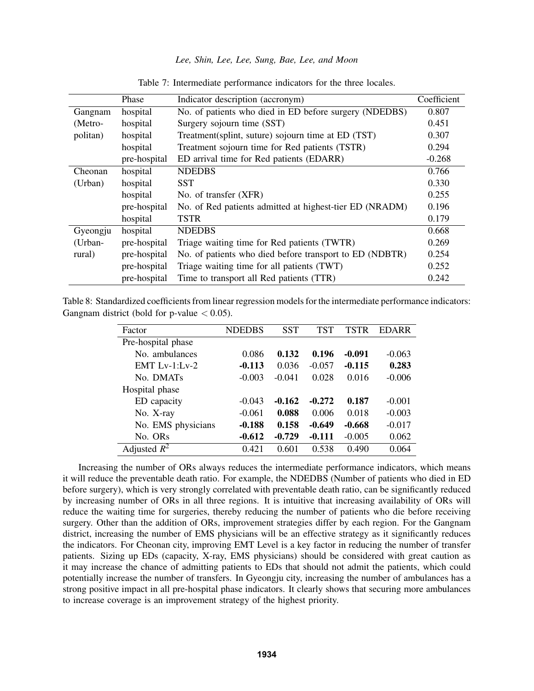|          | Phase        | Indicator description (accronym)                        | Coefficient |
|----------|--------------|---------------------------------------------------------|-------------|
| Gangnam  | hospital     | No. of patients who died in ED before surgery (NDEDBS)  | 0.807       |
| (Metro-  | hospital     | Surgery sojourn time (SST)                              | 0.451       |
| politan) | hospital     | Treatment(splint, suture) sojourn time at ED (TST)      | 0.307       |
|          | hospital     | Treatment sojourn time for Red patients (TSTR)          | 0.294       |
|          | pre-hospital | ED arrival time for Red patients (EDARR)                | $-0.268$    |
| Cheonan  | hospital     | <b>NDEDBS</b>                                           | 0.766       |
| (Urban)  | hospital     | <b>SST</b>                                              | 0.330       |
|          | hospital     | No. of transfer (XFR)                                   | 0.255       |
|          | pre-hospital | No. of Red patients admitted at highest-tier ED (NRADM) | 0.196       |
|          | hospital     | <b>TSTR</b>                                             | 0.179       |
| Gyeongju | hospital     | <b>NDEDBS</b>                                           | 0.668       |
| (Urban-  | pre-hospital | Triage waiting time for Red patients (TWTR)             | 0.269       |
| rural)   | pre-hospital | No. of patients who died before transport to ED (NDBTR) | 0.254       |
|          | pre-hospital | Triage waiting time for all patients (TWT)              | 0.252       |
|          | pre-hospital | Time to transport all Red patients (TTR)                | 0.242       |

Table 7: Intermediate performance indicators for the three locales.

Table 8: Standardized coefficients from linear regression models for the intermediate performance indicators: Gangnam district (bold for p-value  $< 0.05$ ).

| Factor             | <b>NDEDBS</b> | <b>SST</b> | TST      | TSTR     | <b>EDARR</b> |
|--------------------|---------------|------------|----------|----------|--------------|
| Pre-hospital phase |               |            |          |          |              |
| No. ambulances     | 0.086         | 0.132      | 0.196    | $-0.091$ | $-0.063$     |
| $EMT$ Lv-1:Lv-2    | $-0.113$      | 0.036      | $-0.057$ | $-0.115$ | 0.283        |
| No. DMATs          | $-0.003$      | $-0.041$   | 0.028    | 0.016    | $-0.006$     |
| Hospital phase     |               |            |          |          |              |
| ED capacity        | $-0.043$      | $-0.162$   | $-0.272$ | 0.187    | $-0.001$     |
| No. X-ray          | $-0.061$      | 0.088      | 0.006    | 0.018    | $-0.003$     |
| No. EMS physicians | $-0.188$      | 0.158      | $-0.649$ | $-0.668$ | $-0.017$     |
| No. ORs            | $-0.612$      | $-0.729$   | $-0.111$ | $-0.005$ | 0.062        |
| Adjusted $R^2$     | 0.421         | 0.601      | 0.538    | 0.490    | 0.064        |

Increasing the number of ORs always reduces the intermediate performance indicators, which means it will reduce the preventable death ratio. For example, the NDEDBS (Number of patients who died in ED before surgery), which is very strongly correlated with preventable death ratio, can be significantly reduced by increasing number of ORs in all three regions. It is intuitive that increasing availability of ORs will reduce the waiting time for surgeries, thereby reducing the number of patients who die before receiving surgery. Other than the addition of ORs, improvement strategies differ by each region. For the Gangnam district, increasing the number of EMS physicians will be an effective strategy as it significantly reduces the indicators. For Cheonan city, improving EMT Level is a key factor in reducing the number of transfer patients. Sizing up EDs (capacity, X-ray, EMS physicians) should be considered with great caution as it may increase the chance of admitting patients to EDs that should not admit the patients, which could potentially increase the number of transfers. In Gyeongju city, increasing the number of ambulances has a strong positive impact in all pre-hospital phase indicators. It clearly shows that securing more ambulances to increase coverage is an improvement strategy of the highest priority.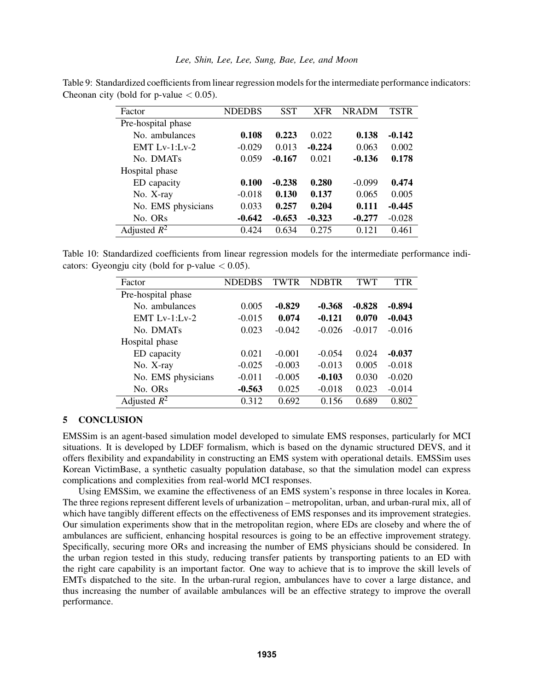| Factor             | <b>NDEDBS</b> | <b>SST</b> | <b>XFR</b> | <b>NRADM</b> | TSTR     |
|--------------------|---------------|------------|------------|--------------|----------|
| Pre-hospital phase |               |            |            |              |          |
| No. ambulances     | 0.108         | 0.223      | 0.022      | 0.138        | $-0.142$ |
| $EMT$ Lv-1:Lv-2    | $-0.029$      | 0.013      | $-0.224$   | 0.063        | 0.002    |
| No. DMATs          | 0.059         | $-0.167$   | 0.021      | $-0.136$     | 0.178    |
| Hospital phase     |               |            |            |              |          |
| ED capacity        | 0.100         | $-0.238$   | 0.280      | $-0.099$     | 0.474    |
| No. X-ray          | $-0.018$      | 0.130      | 0.137      | 0.065        | 0.005    |
| No. EMS physicians | 0.033         | 0.257      | 0.204      | 0.111        | $-0.445$ |
| No. ORs            | $-0.642$      | $-0.653$   | $-0.323$   | $-0.277$     | $-0.028$ |
| Adjusted $R^2$     | 0.424         | 0.634      | 0.275      | 0.121        | 0.461    |

Table 9: Standardized coefficients from linear regression models for the intermediate performance indicators: Cheonan city (bold for p-value  $< 0.05$ ).

Table 10: Standardized coefficients from linear regression models for the intermediate performance indicators: Gyeongju city (bold for p-value  $< 0.05$ ).

| Factor             | <b>NDEDBS</b> | <b>TWTR</b> | <b>NDBTR</b> | <b>TWT</b> | TTR      |
|--------------------|---------------|-------------|--------------|------------|----------|
| Pre-hospital phase |               |             |              |            |          |
| No. ambulances     | 0.005         | $-0.829$    | -0.368       | $-0.828$   | $-0.894$ |
| $EMT$ Lv-1:Lv-2    | $-0.015$      | 0.074       | $-0.121$     | 0.070      | $-0.043$ |
| No. DMATs          | 0.023         | $-0.042$    | $-0.026$     | $-0.017$   | $-0.016$ |
| Hospital phase     |               |             |              |            |          |
| ED capacity        | 0.021         | $-0.001$    | $-0.054$     | 0.024      | $-0.037$ |
| No. X-ray          | $-0.025$      | $-0.003$    | $-0.013$     | 0.005      | $-0.018$ |
| No. EMS physicians | $-0.011$      | $-0.005$    | $-0.103$     | 0.030      | $-0.020$ |
| No. ORs            | $-0.563$      | 0.025       | $-0.018$     | 0.023      | $-0.014$ |
| Adjusted $R^2$     | 0.312         | 0.692       | 0.156        | 0.689      | 0.802    |

#### 5 CONCLUSION

EMSSim is an agent-based simulation model developed to simulate EMS responses, particularly for MCI situations. It is developed by LDEF formalism, which is based on the dynamic structured DEVS, and it offers flexibility and expandability in constructing an EMS system with operational details. EMSSim uses Korean VictimBase, a synthetic casualty population database, so that the simulation model can express complications and complexities from real-world MCI responses.

Using EMSSim, we examine the effectiveness of an EMS system's response in three locales in Korea. The three regions represent different levels of urbanization – metropolitan, urban, and urban-rural mix, all of which have tangibly different effects on the effectiveness of EMS responses and its improvement strategies. Our simulation experiments show that in the metropolitan region, where EDs are closeby and where the of ambulances are sufficient, enhancing hospital resources is going to be an effective improvement strategy. Specifically, securing more ORs and increasing the number of EMS physicians should be considered. In the urban region tested in this study, reducing transfer patients by transporting patients to an ED with the right care capability is an important factor. One way to achieve that is to improve the skill levels of EMTs dispatched to the site. In the urban-rural region, ambulances have to cover a large distance, and thus increasing the number of available ambulances will be an effective strategy to improve the overall performance.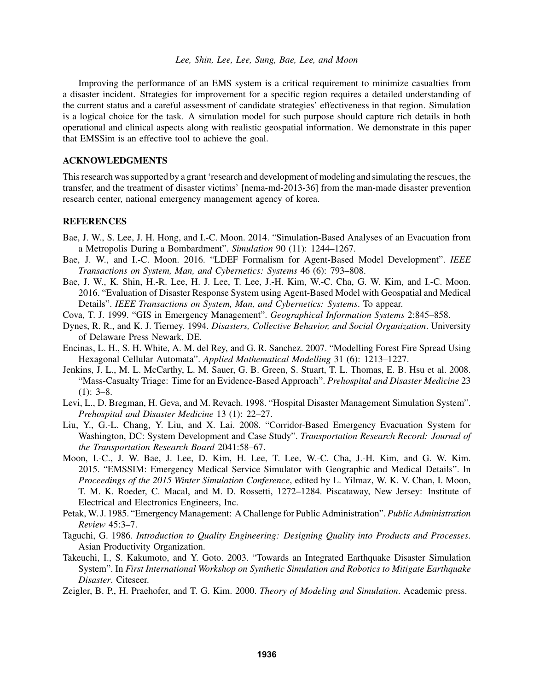Improving the performance of an EMS system is a critical requirement to minimize casualties from a disaster incident. Strategies for improvement for a specific region requires a detailed understanding of the current status and a careful assessment of candidate strategies' effectiveness in that region. Simulation is a logical choice for the task. A simulation model for such purpose should capture rich details in both operational and clinical aspects along with realistic geospatial information. We demonstrate in this paper that EMSSim is an effective tool to achieve the goal.

### ACKNOWLEDGMENTS

This research was supported by a grant 'research and development of modeling and simulating the rescues, the transfer, and the treatment of disaster victims' [nema-md-2013-36] from the man-made disaster prevention research center, national emergency management agency of korea.

#### **REFERENCES**

- Bae, J. W., S. Lee, J. H. Hong, and I.-C. Moon. 2014. "Simulation-Based Analyses of an Evacuation from a Metropolis During a Bombardment". *Simulation* 90 (11): 1244–1267.
- Bae, J. W., and I.-C. Moon. 2016. "LDEF Formalism for Agent-Based Model Development". *IEEE Transactions on System, Man, and Cybernetics: Systems* 46 (6): 793–808.
- Bae, J. W., K. Shin, H.-R. Lee, H. J. Lee, T. Lee, J.-H. Kim, W.-C. Cha, G. W. Kim, and I.-C. Moon. 2016. "Evaluation of Disaster Response System using Agent-Based Model with Geospatial and Medical Details". *IEEE Transactions on System, Man, and Cybernetics: Systems*. To appear.
- Cova, T. J. 1999. "GIS in Emergency Management". *Geographical Information Systems* 2:845–858.
- Dynes, R. R., and K. J. Tierney. 1994. *Disasters, Collective Behavior, and Social Organization*. University of Delaware Press Newark, DE.
- Encinas, L. H., S. H. White, A. M. del Rey, and G. R. Sanchez. 2007. "Modelling Forest Fire Spread Using Hexagonal Cellular Automata". *Applied Mathematical Modelling* 31 (6): 1213–1227.
- Jenkins, J. L., M. L. McCarthy, L. M. Sauer, G. B. Green, S. Stuart, T. L. Thomas, E. B. Hsu et al. 2008. "Mass-Casualty Triage: Time for an Evidence-Based Approach". *Prehospital and Disaster Medicine* 23  $(1): 3-8.$
- Levi, L., D. Bregman, H. Geva, and M. Revach. 1998. "Hospital Disaster Management Simulation System". *Prehospital and Disaster Medicine* 13 (1): 22–27.
- Liu, Y., G.-L. Chang, Y. Liu, and X. Lai. 2008. "Corridor-Based Emergency Evacuation System for Washington, DC: System Development and Case Study". *Transportation Research Record: Journal of the Transportation Research Board* 2041:58–67.
- Moon, I.-C., J. W. Bae, J. Lee, D. Kim, H. Lee, T. Lee, W.-C. Cha, J.-H. Kim, and G. W. Kim. 2015. "EMSSIM: Emergency Medical Service Simulator with Geographic and Medical Details". In *Proceedings of the 2015 Winter Simulation Conference*, edited by L. Yilmaz, W. K. V. Chan, I. Moon, T. M. K. Roeder, C. Macal, and M. D. Rossetti, 1272–1284. Piscataway, New Jersey: Institute of Electrical and Electronics Engineers, Inc.
- Petak, W. J. 1985. "Emergency Management: A Challenge for Public Administration". *Public Administration Review* 45:3–7.
- Taguchi, G. 1986. *Introduction to Quality Engineering: Designing Quality into Products and Processes*. Asian Productivity Organization.
- Takeuchi, I., S. Kakumoto, and Y. Goto. 2003. "Towards an Integrated Earthquake Disaster Simulation System". In *First International Workshop on Synthetic Simulation and Robotics to Mitigate Earthquake Disaster*. Citeseer.
- Zeigler, B. P., H. Praehofer, and T. G. Kim. 2000. *Theory of Modeling and Simulation*. Academic press.